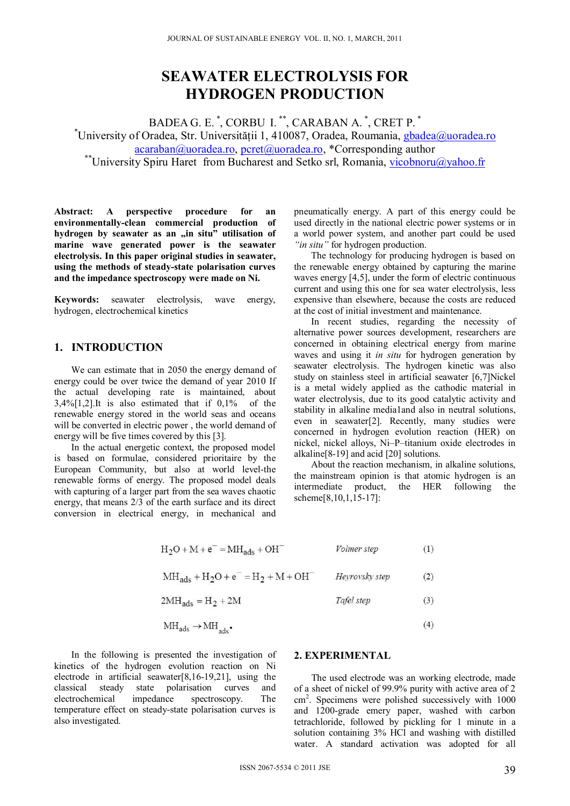# **SEAWATER ELECTROLYSIS FOR HYDROGEN PRODUCTION**

BADEA G. E.<sup>\*</sup>, CORBU I.<sup>\*\*</sup>, CARABAN A.<sup>\*</sup>, CRET P.<sup>\*</sup> \*University of Oradea, Str. Universității 1, 410087, Oradea, Roumania, gbadea@uoradea.ro acaraban@uoradea.ro, pcret@uoradea.ro, \*Corresponding author<br>
\*\*University Spiru Haret from Bucharest and Setko srl, Romania, vicobnoru@yahoo.fr

**Abstract: A perspective procedure for an environmentally-clean commercial production of**  hydrogen by seawater as an "in situ" utilisation of **marine wave generated power is the seawater electrolysis. In this paper original studies in seawater, using the methods of steady-state polarisation curves and the impedance spectroscopy were made on Ni.** 

**Keywords:** seawater electrolysis, wave energy, hydrogen, electrochemical kinetics

## **1. INTRODUCTION**

We can estimate that in 2050 the energy demand of energy could be over twice the demand of year 2010 If the actual developing rate is maintained, about 3,4%[1,2].It is also estimated that if 0,1% of the renewable energy stored in the world seas and oceans will be converted in electric power, the world demand of energy will be five times covered by this [3].

In the actual energetic context, the proposed model is based on formulae, considered prioritaire by the European Community, but also at world level-the renewable forms of energy. The proposed model deals with capturing of a larger part from the sea waves chaotic energy, that means 2/3 of the earth surface and its direct conversion in electrical energy, in mechanical and pneumatically energy. A part of this energy could be used directly in the national electric power systems or in a world power system, and another part could be used *"in situ"* for hydrogen production.

The technology for producing hydrogen is based on the renewable energy obtained by capturing the marine waves energy [4,5], under the form of electric continuous current and using this one for sea water electrolysis, less expensive than elsewhere, because the costs are reduced at the cost of initial investment and maintenance.

In recent studies, regarding the necessity of alternative power sources development, researchers are concerned in obtaining electrical energy from marine waves and using it *in situ* for hydrogen generation by seawater electrolysis. The hydrogen kinetic was also study on stainless steel in artificial seawater [6,7]Nickel is a metal widely applied as the cathodic material in water electrolysis, due to its good catalytic activity and stability in alkaline media1and also in neutral solutions, even in seawater[2]. Recently, many studies were concerned in hydrogen evolution reaction (HER) on nickel, nickel alloys, Ni–P–titanium oxide electrodes in alkaline[8-19] and acid [20] solutions.

About the reaction mechanism, in alkaline solutions, the mainstream opinion is that atomic hydrogen is an intermediate product, the HER following the scheme[8,10,1,15-17]:

| $H_2O + M + e^- = MH_{ads} + OH^-$       | Volmer step    | (1)  |
|------------------------------------------|----------------|------|
| $MH_{ads} + H_2O + e^- = H_2 + M + OH^-$ | Heyrovsky step | (2)  |
| $2MH_{ads} = H_2 + 2M$                   | Tafel step     | (3)  |
|                                          |                | デーエン |

$$
MH_{ads} \to MH_{ads} \tag{4}
$$

In the following is presented the investigation of kinetics of the hydrogen evolution reaction on Ni electrode in artificial seawater[8,16-19,21], using the classical steady state polarisation curves and electrochemical impedance spectroscopy. The temperature effect on steady-state polarisation curves is also investigated.

### **2. EXPERIMENTAL**

The used electrode was an working electrode, made of a sheet of nickel of 99.9% purity with active area of 2 cm<sup>2</sup> . Specimens were polished successively with 1000 and 1200-grade emery paper, washed with carbon tetrachloride, followed by pickling for 1 minute in a solution containing 3% HCl and washing with distilled water. A standard activation was adopted for all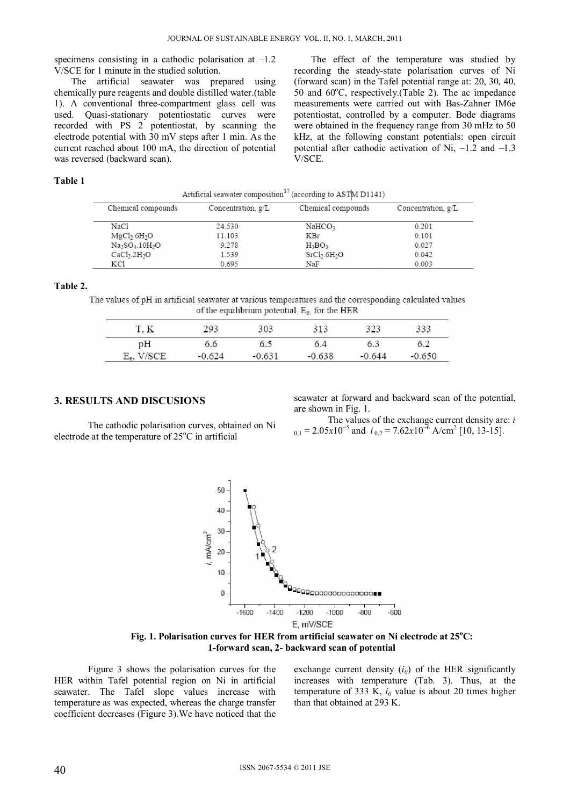specimens consisting in a cathodic polarisation at  $-1.2$ V/SCE for 1 minute in the studied solution.

The artificial seawater was prepared using chemically pure reagents and double distilled water.(table 1). A conventional three-compartment glass cell was used. Quasi-stationary potentiostatic curves were recorded with PS 2 potentiostat, by scanning the electrode potential with 30 mV steps after 1 min. As the current reached about 100 mA, the direction of potential was reversed (backward scan).

The effect of the temperature was studied by recording the steady-state polarisation curves of Ni (forward scan) in the Tafel potential range at: 20, 30, 40, 50 and 60°C, respectively.(Table 2). The ac impedance measurements were carried out with Bas-Zahner IM6e potentiostat, controlled by a computer. Bode diagrams were obtained in the frequency range from 30 mHz to 50 kHz, at the following constant potentials: open circuit potential after cathodic activation of Ni, –1.2 and –1.3 V/SCE.

## **Table 1**

|  | Artificial seawater composition <sup>1</sup> (according to ASTM D1141) |  |  |
|--|------------------------------------------------------------------------|--|--|
|  |                                                                        |  |  |

| Chemical compounds                   | Concentration, $g/L$ | Chemical compounds                   | Concentration, g/L |
|--------------------------------------|----------------------|--------------------------------------|--------------------|
| NaCl                                 | 24.530               | NaHCO <sub>3</sub>                   | 0.201              |
| MgCh.6H <sub>2</sub> O               | 11.103               | <b>KBr</b>                           | 0.101              |
| $Na2SO4.10H2O$                       | 9.278                | $H_3BO_3$                            | 0.027              |
| CaCl <sub>2</sub> .2H <sub>2</sub> O | 1.539                | SrCl <sub>2</sub> .6H <sub>2</sub> O | 0.042              |
| KCl                                  | 0.695                | NaF                                  | 0.003              |

**Table 2.** 

The values of pH in artificial seawater at various temperatures and the corresponding calculated values of the equilibrium potential, E<sub>e</sub>, for the HER

|                        | 293      | 303      | 313      | 272<br>رے د | 333      |
|------------------------|----------|----------|----------|-------------|----------|
| pН                     | J.O      | 6.5      | 6.4      | 6.3         | 5.2      |
| V/SCE.<br>$E_{\rm ex}$ | $-0.624$ | $-0.631$ | $-0.638$ | $-0.644$    | $-0.650$ |

#### **3. RESULTS AND DISCUSIONS**

The cathodic polarisation curves, obtained on Ni electrode at the temperature of  $25^{\circ}$ C in artificial

seawater at forward and backward scan of the potential, are shown in Fig. 1.

The values of the exchange current density are: *i*  $_{0,1}$  = 2.05 $x10^{-5}$  and  $i_{0,2}$  = 7.62 $x10^{-6}$  A/cm<sup>2</sup> [10, 13-15].



Fig. 1. Polarisation curves for HER from artificial seawater on Ni electrode at 25°C: **1-forward scan, 2- backward scan of potential** 

Figure 3 shows the polarisation curves for the HER within Tafel potential region on Ni in artificial seawater. The Tafel slope values increase with temperature as was expected, whereas the charge transfer coefficient decreases (Figure 3).We have noticed that the

exchange current density  $(i_0)$  of the HER significantly increases with temperature (Tab. 3). Thus, at the temperature of 333 K,  $i_0$  value is about 20 times higher than that obtained at 293 K.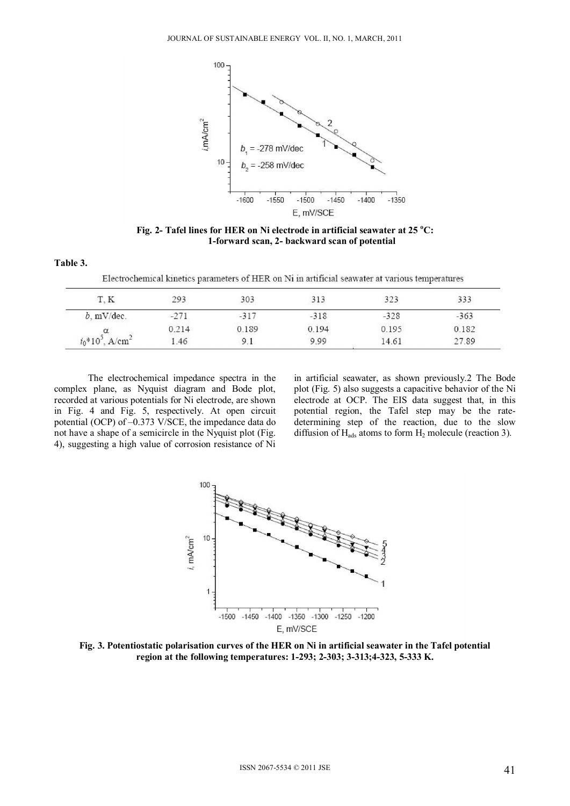

Fig. 2- Tafel lines for HER on Ni electrode in artificial seawater at 25 °C: **1-forward scan, 2- backward scan of potential** 

**Table 3.** 

Electrochemical kinetics parameters of HER on Ni in artificial seawater at various temperatures

| T, K                           | 293    | 303.   | 313    | 323    | 333    |
|--------------------------------|--------|--------|--------|--------|--------|
| $b.$ mV/dec.                   | $-271$ | $-317$ | $-318$ | $-328$ | $-363$ |
| $i_0*10^3$ , A/cm <sup>2</sup> | 0.214  | 0.189  | 0.194  | 0.195  | 0.182  |
|                                | .46    |        | 9.99   | 14.61  | 27.89  |

The electrochemical impedance spectra in the complex plane, as Nyquist diagram and Bode plot, recorded at various potentials for Ni electrode, are shown in Fig. 4 and Fig. 5, respectively. At open circuit potential (OCP) of –0.373 V/SCE, the impedance data do not have a shape of a semicircle in the Nyquist plot (Fig. 4), suggesting a high value of corrosion resistance of Ni

in artificial seawater, as shown previously.2 The Bode plot (Fig. 5) also suggests a capacitive behavior of the Ni electrode at OCP. The EIS data suggest that, in this potential region, the Tafel step may be the ratedetermining step of the reaction, due to the slow diffusion of  $H_{ads}$  atoms to form  $H_2$  molecule (reaction 3).



**Fig. 3. Potentiostatic polarisation curves of the HER on Ni in artificial seawater in the Tafel potential region at the following temperatures: 1-293; 2-303; 3-313;4-323, 5-333 K.**